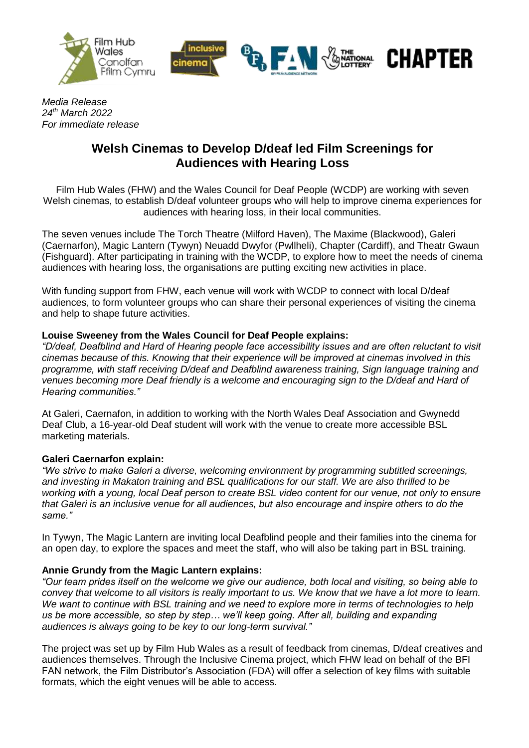



# **CHAPTER**

*Media Release 24th March 2022 For immediate release*

## **Welsh Cinemas to Develop D/deaf led Film Screenings for Audiences with Hearing Loss**

Film Hub Wales (FHW) and the Wales Council for Deaf People (WCDP) are working with seven Welsh cinemas, to establish D/deaf volunteer groups who will help to improve cinema experiences for audiences with hearing loss, in their local communities.

The seven venues include The Torch Theatre (Milford Haven), The Maxime (Blackwood), Galeri (Caernarfon), Magic Lantern (Tywyn) Neuadd Dwyfor (Pwllheli), Chapter (Cardiff), and Theatr Gwaun (Fishguard). After participating in training with the WCDP, to explore how to meet the needs of cinema audiences with hearing loss, the organisations are putting exciting new activities in place.

With funding support from FHW, each venue will work with WCDP to connect with local D/deaf audiences, to form volunteer groups who can share their personal experiences of visiting the cinema and help to shape future activities.

## **Louise Sweeney from the Wales Council for Deaf People explains:**

*"D/deaf, Deafblind and Hard of Hearing people face accessibility issues and are often reluctant to visit cinemas because of this. Knowing that their experience will be improved at cinemas involved in this programme, with staff receiving D/deaf and Deafblind awareness training, Sign language training and venues becoming more Deaf friendly is a welcome and encouraging sign to the D/deaf and Hard of Hearing communities."*

At Galeri, Caernafon, in addition to working with the North Wales Deaf Association and Gwynedd Deaf Club, a 16-year-old Deaf student will work with the venue to create more accessible BSL marketing materials.

## **Galeri Caernarfon explain:**

*"We strive to make Galeri a diverse, welcoming environment by programming subtitled screenings, and investing in Makaton training and BSL qualifications for our staff. We are also thrilled to be working with a young, local Deaf person to create BSL video content for our venue, not only to ensure that Galeri is an inclusive venue for all audiences, but also encourage and inspire others to do the same."*

In Tywyn, The Magic Lantern are inviting local Deafblind people and their families into the cinema for an open day, to explore the spaces and meet the staff, who will also be taking part in BSL training.

## **Annie Grundy from the Magic Lantern explains:**

*"Our team prides itself on the welcome we give our audience, both local and visiting, so being able to convey that welcome to all visitors is really important to us. We know that we have a lot more to learn. We want to continue with BSL training and we need to explore more in terms of technologies to help us be more accessible, so step by step… we'll keep going. After all, building and expanding audiences is always going to be key to our long-term survival."*

The project was set up by Film Hub Wales as a result of feedback from cinemas, D/deaf creatives and audiences themselves. Through the Inclusive Cinema project, which FHW lead on behalf of the BFI FAN network, the Film Distributor's Association (FDA) will offer a selection of key films with suitable formats, which the eight venues will be able to access.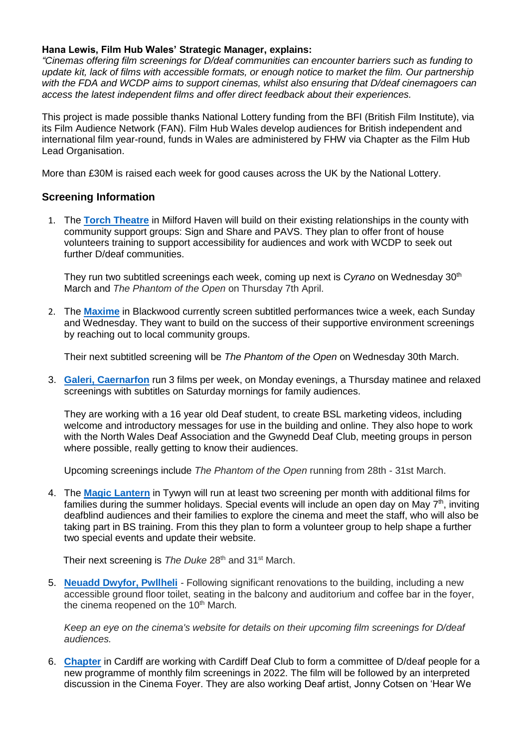#### **Hana Lewis, Film Hub Wales' Strategic Manager, explains:**

*"Cinemas offering film screenings for D/deaf communities can encounter barriers such as funding to update kit, lack of films with accessible formats, or enough notice to market the film. Our partnership with the FDA and WCDP aims to support cinemas, whilst also ensuring that D/deaf cinemagoers can access the latest independent films and offer direct feedback about their experiences.*

This project is made possible thanks National Lottery funding from the BFI (British Film Institute), via its Film Audience Network (FAN). Film Hub Wales develop audiences for British independent and international film year-round, funds in Wales are administered by FHW via Chapter as the Film Hub Lead Organisation.

More than £30M is raised each week for good causes across the UK by the National Lottery.

#### **Screening Information**

1. The **[Torch Theatre](https://www.torchtheatre.co.uk/whats-on/cinema)** in Milford Haven will build on their existing relationships in the county with community support groups: Sign and Share and PAVS. They plan to offer front of house volunteers training to support accessibility for audiences and work with WCDP to seek out further D/deaf communities.

They run two subtitled screenings each week, coming up next is *Cyrano* on Wednesday 30th March and *The Phantom of the Open* on Thursday 7th April.

2. The **[Maxime](https://www.blackwoodcinema.co.uk/)** in Blackwood currently screen subtitled performances twice a week, each Sunday and Wednesday. They want to build on the success of their supportive environment screenings by reaching out to local community groups.

Their next subtitled screening will be *The Phantom of the Open* on Wednesday 30th March.

3. **[Galeri, Caernarfon](https://galericaernarfon.com/cinema)** run 3 films per week, on Monday evenings, a Thursday matinee and relaxed screenings with subtitles on Saturday mornings for family audiences.

They are working with a 16 year old Deaf student, to create BSL marketing videos, including welcome and introductory messages for use in the building and online. They also hope to work with the North Wales Deaf Association and the Gwynedd Deaf Club, meeting groups in person where possible, really getting to know their audiences.

Upcoming screenings include *The Phantom of the Open* running from 28th - 31st March.

4. The **[Magic Lantern](https://www.tywyncinema.co.uk/films)** in Tywyn will run at least two screening per month with additional films for families during the summer holidays. Special events will include an open day on May  $7<sup>th</sup>$ , inviting deafblind audiences and their families to explore the cinema and meet the staff, who will also be taking part in BS training. From this they plan to form a volunteer group to help shape a further two special events and update their website.

Their next screening is *The Duke* 28<sup>th</sup> and 31<sup>st</sup> March.

5. **[Neuadd Dwyfor, Pwllheli](https://www.pwllheli.cymru/cinema-theatre/)** *-* Following significant renovations to the building, including a new accessible ground floor toilet, seating in the balcony and auditorium and coffee bar in the foyer, the cinema reopened on the 10<sup>th</sup> March.

*Keep an eye on the cinema's website for details on their upcoming film screenings for D/deaf audiences.*

6. **[Chapter](https://www.chapter.org/whats-on/film/)** in Cardiff are working with Cardiff Deaf Club to form a committee of D/deaf people for a new programme of monthly film screenings in 2022. The film will be followed by an interpreted discussion in the Cinema Foyer. They are also working Deaf artist, Jonny Cotsen on 'Hear We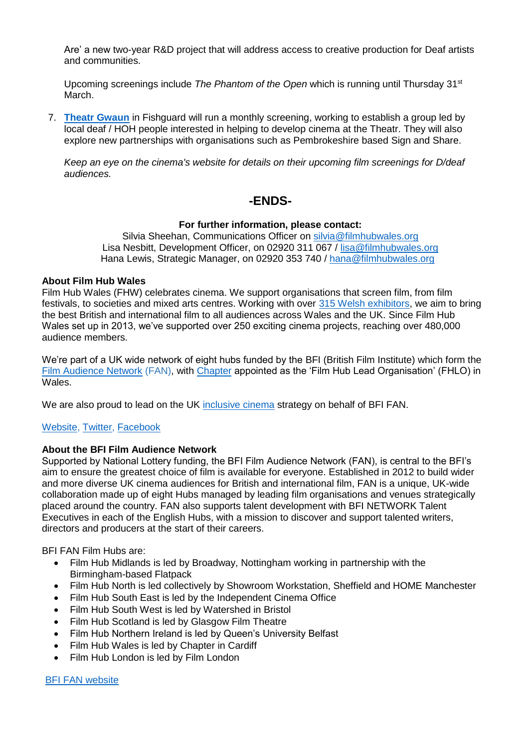Are' a new two-year R&D project that will address access to creative production for Deaf artists and communities.

Upcoming screenings include *The Phantom of the Open* which is running until Thursday 31st March.

7. **[Theatr Gwaun](https://theatrgwaun.com/cinema/)** in Fishguard will run a monthly screening, working to establish a group led by local deaf / HOH people interested in helping to develop cinema at the Theatr. They will also explore new partnerships with organisations such as Pembrokeshire based Sign and Share.

*Keep an eye on the cinema's website for details on their upcoming film screenings for D/deaf audiences.*

## **-ENDS-**

#### **For further information, please contact:**

Silvia Sheehan, Communications Officer on [silvia@filmhubwales.org](mailto:silvia@filmhubwales.org) Lisa Nesbitt, Development Officer, on 02920 311 067 / [lisa@filmhubwales.org](mailto:lisa@filmhubwales.org) Hana Lewis, Strategic Manager, on 02920 353 740 / [hana@filmhubwales.org](mailto:hana@filmhubwales.org)

#### **About Film Hub Wales**

Film Hub Wales (FHW) celebrates cinema. We support organisations that screen film, from film festivals, to societies and mixed arts centres. Working with over [315 Welsh exhibitors,](https://filmhubwales.org/members/) we aim to bring the best British and international film to all audiences across Wales and the UK. Since Film Hub Wales set up in 2013, we've supported over 250 exciting cinema projects, reaching over 480,000 audience members.

We're part of a UK wide network of eight hubs funded by the BFI (British Film Institute) which form the [Film Audience Network](https://www.bfi.org.uk/supporting-uk-film/distribution-exhibition-funding/film-audience-network) (FAN), with [Chapter](http://www.chapter.org/) appointed as the 'Film Hub Lead Organisation' (FHLO) in Wales.

We are also proud to lead on the UK [inclusive cinema](http://www.inclusivecinema.org/) strategy on behalf of BFI FAN.

#### [Website,](https://filmhubwales.org/en/) [Twitter,](https://twitter.com/filmhubwales) [Facebook](https://www.facebook.com/filmhubwales/)

#### **About the BFI Film Audience Network**

Supported by National Lottery funding, the BFI Film Audience Network (FAN), is central to the BFI's aim to ensure the greatest choice of film is available for everyone. Established in 2012 to build wider and more diverse UK cinema audiences for British and international film, FAN is a unique, UK-wide collaboration made up of eight Hubs managed by leading film organisations and venues strategically placed around the country. FAN also supports talent development with BFI NETWORK Talent Executives in each of the English Hubs, with a mission to discover and support talented writers, directors and producers at the start of their careers.

BFI FAN Film Hubs are:

- Film Hub Midlands is led by Broadway, Nottingham working in partnership with the Birmingham-based Flatpack
- Film Hub North is led collectively by Showroom Workstation, Sheffield and HOME Manchester
- Film Hub South East is led by the Independent Cinema Office
- Film Hub South West is led by Watershed in Bristol
- Film Hub Scotland is led by Glasgow Film Theatre
- Film Hub Northern Ireland is led by Queen's University Belfast
- Film Hub Wales is led by Chapter in Cardiff
- Film Hub London is led by Film London

[BFI FAN website](https://www.bfi.org.uk/supporting-uk-film/distribution-exhibition-funding/film-audience-network)